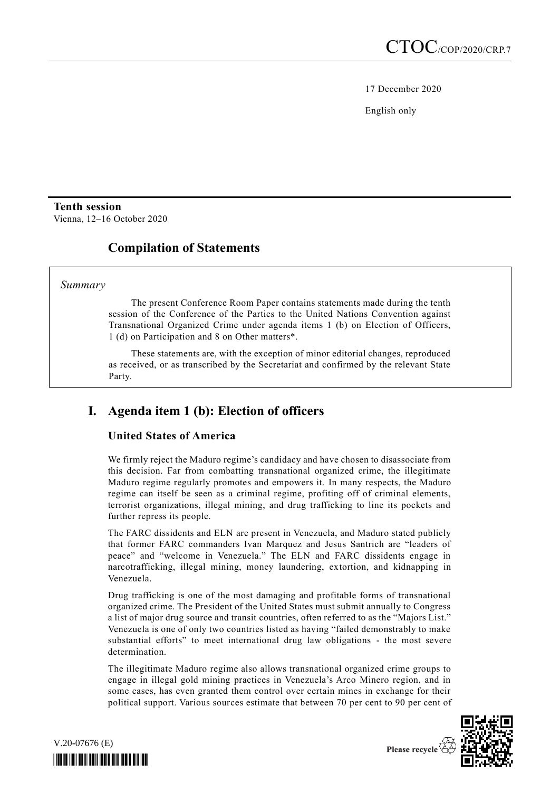17 December 2020

English only

# **Tenth session**

Vienna, 12–16 October 2020

# **Compilation of Statements**

#### *Summary*

The present Conference Room Paper contains statements made during the tenth session of the Conference of the Parties to the United Nations Convention against Transnational Organized Crime under agenda items 1 (b) on Election of Officers, 1 (d) on Participation and 8 on Other matters\*.

These statements are, with the exception of minor editorial changes, reproduced as received, or as transcribed by the Secretariat and confirmed by the relevant State Party.

# **I. Agenda item 1 (b): Election of officers**

### **United States of America**

We firmly reject the Maduro regime's candidacy and have chosen to disassociate from this decision. Far from combatting transnational organized crime, the illegitimate Maduro regime regularly promotes and empowers it. In many respects, the Maduro regime can itself be seen as a criminal regime, profiting off of criminal elements, terrorist organizations, illegal mining, and drug trafficking to line its pockets and further repress its people.

The FARC dissidents and ELN are present in Venezuela, and Maduro stated publicly that former FARC commanders Ivan Marquez and Jesus Santrich are "leaders of peace" and "welcome in Venezuela." The ELN and FARC dissidents engage in narcotrafficking, illegal mining, money laundering, extortion, and kidnapping in Venezuela.

Drug trafficking is one of the most damaging and profitable forms of transnational organized crime. The President of the United States must submit annually to Congress a list of major drug source and transit countries, often referred to as the "Majors List." Venezuela is one of only two countries listed as having "failed demonstrably to make substantial efforts" to meet international drug law obligations - the most severe determination.

The illegitimate Maduro regime also allows transnational organized crime groups to engage in illegal gold mining practices in Venezuela's Arco Minero region, and in some cases, has even granted them control over certain mines in exchange for their political support. Various sources estimate that between 70 per cent to 90 per cent of



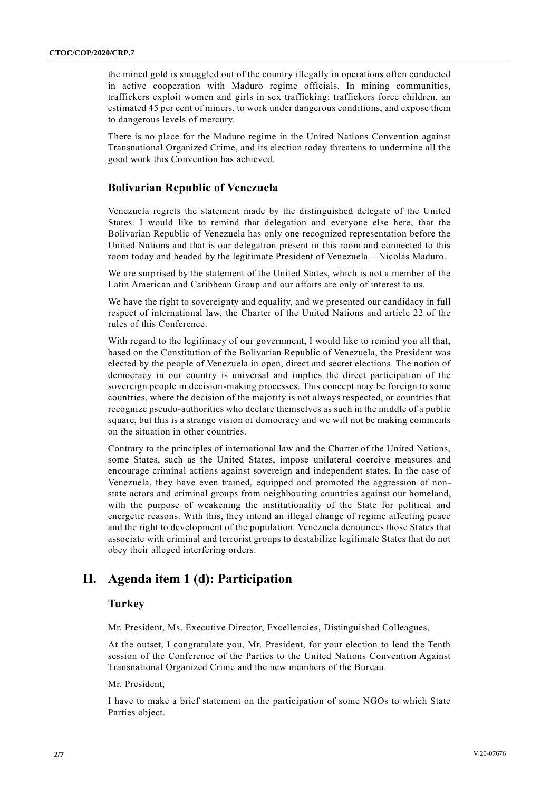the mined gold is smuggled out of the country illegally in operations often conducted in active cooperation with Maduro regime officials. In mining communities, traffickers exploit women and girls in sex trafficking; traffickers force children, an estimated 45 per cent of miners, to work under dangerous conditions, and expose them to dangerous levels of mercury.

There is no place for the Maduro regime in the United Nations Convention against Transnational Organized Crime, and its election today threatens to undermine all the good work this Convention has achieved.

#### **Bolivarian Republic of Venezuela**

Venezuela regrets the statement made by the distinguished delegate of the United States. I would like to remind that delegation and everyone else here, that the Bolivarian Republic of Venezuela has only one recognized representation before the United Nations and that is our delegation present in this room and connected to this room today and headed by the legitimate President of Venezuela – Nicolás Maduro.

We are surprised by the statement of the United States, which is not a member of the Latin American and Caribbean Group and our affairs are only of interest to us.

We have the right to sovereignty and equality, and we presented our candidacy in full respect of international law, the Charter of the United Nations and article 22 of the rules of this Conference.

With regard to the legitimacy of our government, I would like to remind you all that, based on the Constitution of the Bolivarian Republic of Venezuela, the President was elected by the people of Venezuela in open, direct and secret elections. The notion of democracy in our country is universal and implies the direct participation of the sovereign people in decision-making processes. This concept may be foreign to some countries, where the decision of the majority is not always respected, or countries that recognize pseudo-authorities who declare themselves as such in the middle of a public square, but this is a strange vision of democracy and we will not be making comments on the situation in other countries.

Contrary to the principles of international law and the Charter of the United Nations, some States, such as the United States, impose unilateral coercive measures and encourage criminal actions against sovereign and independent states. In the case of Venezuela, they have even trained, equipped and promoted the aggression of nonstate actors and criminal groups from neighbouring countries against our homeland, with the purpose of weakening the institutionality of the State for political and energetic reasons. With this, they intend an illegal change of regime affecting peace and the right to development of the population. Venezuela denounces those States that associate with criminal and terrorist groups to destabilize legitimate States that do not obey their alleged interfering orders.

### **II. Agenda item 1 (d): Participation**

#### **Turkey**

Mr. President, Ms. Executive Director, Excellencies, Distinguished Colleagues,

At the outset, I congratulate you, Mr. President, for your election to lead the Tenth session of the Conference of the Parties to the United Nations Convention Against Transnational Organized Crime and the new members of the Bureau.

Mr. President,

I have to make a brief statement on the participation of some NGOs to which State Parties object.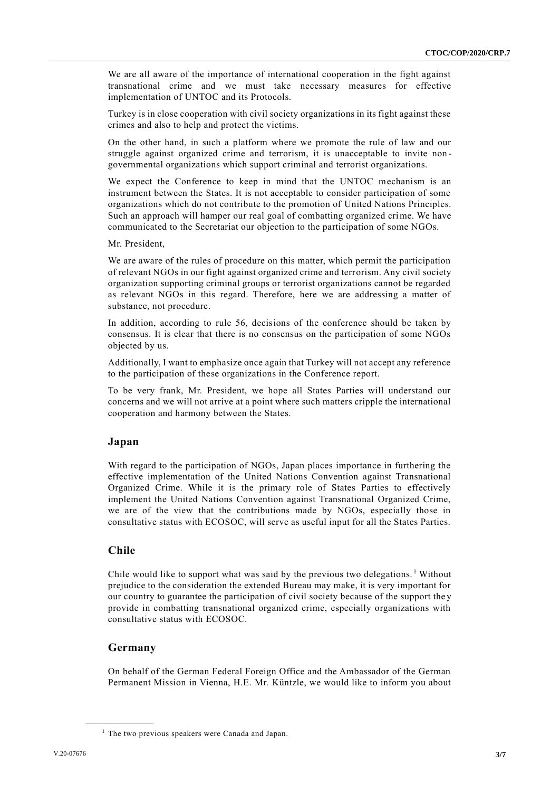We are all aware of the importance of international cooperation in the fight against transnational crime and we must take necessary measures for effective implementation of UNTOC and its Protocols.

Turkey is in close cooperation with civil society organizations in its fight against these crimes and also to help and protect the victims.

On the other hand, in such a platform where we promote the rule of law and our struggle against organized crime and terrorism, it is unacceptable to invite non governmental organizations which support criminal and terrorist organizations.

We expect the Conference to keep in mind that the UNTOC mechanism is an instrument between the States. It is not acceptable to consider participation of some organizations which do not contribute to the promotion of United Nations Principles. Such an approach will hamper our real goal of combatting organized crime. We have communicated to the Secretariat our objection to the participation of some NGOs.

Mr. President,

We are aware of the rules of procedure on this matter, which permit the participation of relevant NGOs in our fight against organized crime and terrorism. Any civil society organization supporting criminal groups or terrorist organizations cannot be regarded as relevant NGOs in this regard. Therefore, here we are addressing a matter of substance, not procedure.

In addition, according to rule 56, decisions of the conference should be taken by consensus. It is clear that there is no consensus on the participation of some NGOs objected by us.

Additionally, I want to emphasize once again that Turkey will not accept any reference to the participation of these organizations in the Conference report.

To be very frank, Mr. President, we hope all States Parties will understand our concerns and we will not arrive at a point where such matters cripple the international cooperation and harmony between the States.

### **Japan**

With regard to the participation of NGOs, Japan places importance in furthering the effective implementation of the United Nations Convention against Transnational Organized Crime. While it is the primary role of States Parties to effectively implement the United Nations Convention against Transnational Organized Crime, we are of the view that the contributions made by NGOs, especially those in consultative status with ECOSOC, will serve as useful input for all the States Parties.

### **Chile**

Chile would like to support what was said by the previous two delegations.<sup>1</sup> Without prejudice to the consideration the extended Bureau may make, it is very important for our country to guarantee the participation of civil society because of the support the y provide in combatting transnational organized crime, especially organizations with consultative status with ECOSOC.

### **Germany**

**\_\_\_\_\_\_\_\_\_\_\_\_\_\_\_\_\_\_**

On behalf of the German Federal Foreign Office and the Ambassador of the German Permanent Mission in Vienna, H.E. Mr. Küntzle, we would like to inform you about

<sup>&</sup>lt;sup>1</sup> The two previous speakers were Canada and Japan.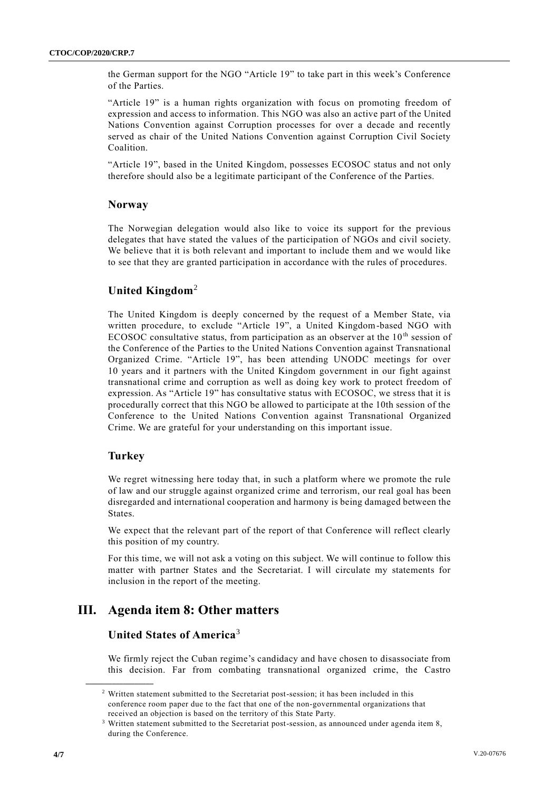the German support for the NGO "Article 19" to take part in this week's Conference of the Parties.

"Article 19" is a human rights organization with focus on promoting freedom of expression and access to information. This NGO was also an active part of the United Nations Convention against Corruption processes for over a decade and recently served as chair of the United Nations Convention against Corruption Civil Society Coalition.

"Article 19", based in the United Kingdom, possesses ECOSOC status and not only therefore should also be a legitimate participant of the Conference of the Parties.

#### **Norway**

The Norwegian delegation would also like to voice its support for the previous delegates that have stated the values of the participation of NGOs and civil society. We believe that it is both relevant and important to include them and we would like to see that they are granted participation in accordance with the rules of procedures.

### **United Kingdom**<sup>2</sup>

The United Kingdom is deeply concerned by the request of a Member State, via written procedure, to exclude "Article 19", a United Kingdom-based NGO with ECOSOC consultative status, from participation as an observer at the  $10<sup>th</sup>$  session of the Conference of the Parties to the United Nations Convention against Transnational Organized Crime. "Article 19", has been attending UNODC meetings for over 10 years and it partners with the United Kingdom government in our fight against transnational crime and corruption as well as doing key work to protect freedom of expression. As "Article 19" has consultative status with ECOSOC, we stress that it is procedurally correct that this NGO be allowed to participate at the 10th session of the Conference to the United Nations Convention against Transnational Organized Crime. We are grateful for your understanding on this important issue.

### **Turkey**

**\_\_\_\_\_\_\_\_\_\_\_\_\_\_\_\_\_\_**

We regret witnessing here today that, in such a platform where we promote the rule of law and our struggle against organized crime and terrorism, our real goal has been disregarded and international cooperation and harmony is being damaged between the States.

We expect that the relevant part of the report of that Conference will reflect clearly this position of my country.

For this time, we will not ask a voting on this subject. We will continue to follow this matter with partner States and the Secretariat. I will circulate my statements for inclusion in the report of the meeting.

### **III. Agenda item 8: Other matters**

### **United States of America**<sup>3</sup>

We firmly reject the Cuban regime's candidacy and have chosen to disassociate from this decision. Far from combating transnational organized crime, the Castro

<sup>&</sup>lt;sup>2</sup> Written statement submitted to the Secretariat post-session; it has been included in this conference room paper due to the fact that one of the non-governmental organizations that received an objection is based on the territory of this State Party.

 $3$  Written statement submitted to the Secretariat post-session, as announced under agenda item 8, during the Conference.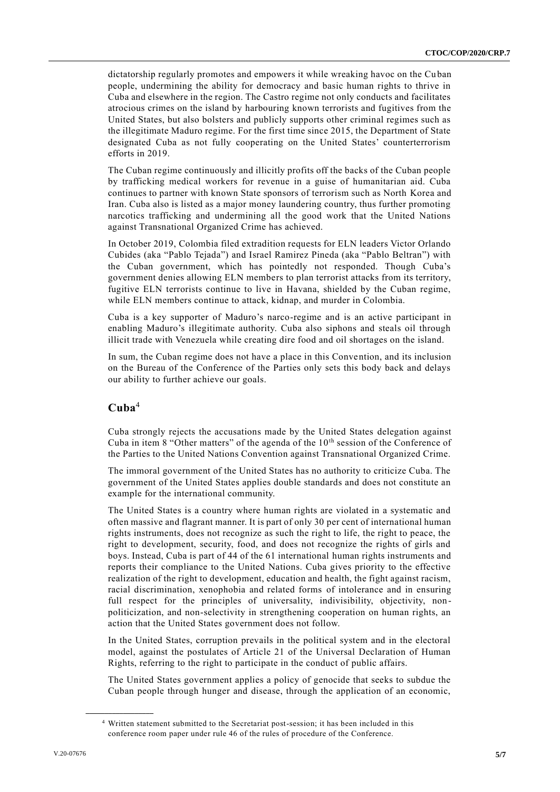dictatorship regularly promotes and empowers it while wreaking havoc on the Cu ban people, undermining the ability for democracy and basic human rights to thrive in Cuba and elsewhere in the region. The Castro regime not only conducts and facilitates atrocious crimes on the island by harbouring known terrorists and fugitives from the United States, but also bolsters and publicly supports other criminal regimes such as the illegitimate Maduro regime. For the first time since 2015, the Department of State designated Cuba as not fully cooperating on the United States' counterterrorism efforts in 2019.

The Cuban regime continuously and illicitly profits off the backs of the Cuban people by trafficking medical workers for revenue in a guise of humanitarian aid. Cuba continues to partner with known State sponsors of terrorism such as North Korea and Iran. Cuba also is listed as a major money laundering country, thus further promoting narcotics trafficking and undermining all the good work that the United Nations against Transnational Organized Crime has achieved.

In October 2019, Colombia filed extradition requests for ELN leaders Victor Orlando Cubides (aka "Pablo Tejada") and Israel Ramirez Pineda (aka "Pablo Beltran") with the Cuban government, which has pointedly not responded. Though Cuba's government denies allowing ELN members to plan terrorist attacks from its territory, fugitive ELN terrorists continue to live in Havana, shielded by the Cuban regime, while ELN members continue to attack, kidnap, and murder in Colombia.

Cuba is a key supporter of Maduro's narco-regime and is an active participant in enabling Maduro's illegitimate authority. Cuba also siphons and steals oil through illicit trade with Venezuela while creating dire food and oil shortages on the island.

In sum, the Cuban regime does not have a place in this Convention, and its inclusion on the Bureau of the Conference of the Parties only sets this body back and delays our ability to further achieve our goals.

### **Cuba**<sup>4</sup>

Cuba strongly rejects the accusations made by the United States delegation against Cuba in item 8 "Other matters" of the agenda of the  $10<sup>th</sup>$  session of the Conference of the Parties to the United Nations Convention against Transnational Organized Crime.

The immoral government of the United States has no authority to criticize Cuba. The government of the United States applies double standards and does not constitute an example for the international community.

The United States is a country where human rights are violated in a systematic and often massive and flagrant manner. It is part of only 30 per cent of international human rights instruments, does not recognize as such the right to life, the right to peace, the right to development, security, food, and does not recognize the rights of girls and boys. Instead, Cuba is part of 44 of the 61 international human rights instruments and reports their compliance to the United Nations. Cuba gives priority to the effective realization of the right to development, education and health, the fight against racism, racial discrimination, xenophobia and related forms of intolerance and in ensuring full respect for the principles of universality, indivisibility, objectivity, nonpoliticization, and non-selectivity in strengthening cooperation on human rights, an action that the United States government does not follow.

In the United States, corruption prevails in the political system and in the electoral model, against the postulates of Article 21 of the Universal Declaration of Human Rights, referring to the right to participate in the conduct of public affairs.

The United States government applies a policy of genocide that seeks to subdue the Cuban people through hunger and disease, through the application of an economic,

**\_\_\_\_\_\_\_\_\_\_\_\_\_\_\_\_\_\_**

<sup>4</sup> Written statement submitted to the Secretariat post-session; it has been included in this conference room paper under rule 46 of the rules of procedure of the Conference.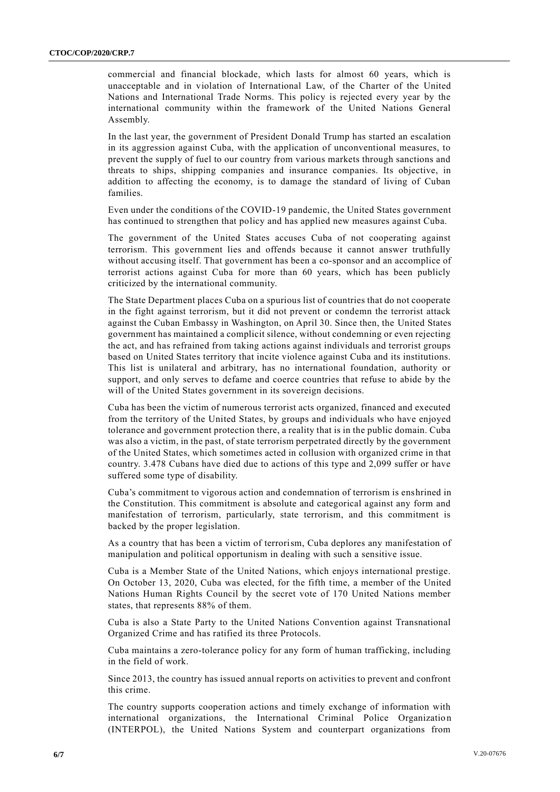commercial and financial blockade, which lasts for almost 60 years, which is unacceptable and in violation of International Law, of the Charter of the United Nations and International Trade Norms. This policy is rejected every year by the international community within the framework of the United Nations General Assembly.

In the last year, the government of President Donald Trump has started an escalation in its aggression against Cuba, with the application of unconventional measures, to prevent the supply of fuel to our country from various markets through sanctions and threats to ships, shipping companies and insurance companies. Its objective, in addition to affecting the economy, is to damage the standard of living of Cuban families.

Even under the conditions of the COVID-19 pandemic, the United States government has continued to strengthen that policy and has applied new measures against Cuba.

The government of the United States accuses Cuba of not cooperating against terrorism. This government lies and offends because it cannot answer truthfully without accusing itself. That government has been a co-sponsor and an accomplice of terrorist actions against Cuba for more than 60 years, which has been publicly criticized by the international community.

The State Department places Cuba on a spurious list of countries that do not cooperate in the fight against terrorism, but it did not prevent or condemn the terrorist attack against the Cuban Embassy in Washington, on April 30. Since then, the United States government has maintained a complicit silence, without condemning or even rejecting the act, and has refrained from taking actions against individuals and terrorist groups based on United States territory that incite violence against Cuba and its institutions. This list is unilateral and arbitrary, has no international foundation, authority or support, and only serves to defame and coerce countries that refuse to abide by the will of the United States government in its sovereign decisions.

Cuba has been the victim of numerous terrorist acts organized, financed and executed from the territory of the United States, by groups and individuals who have enjoyed tolerance and government protection there, a reality that is in the public domain. Cuba was also a victim, in the past, of state terrorism perpetrated directly by the government of the United States, which sometimes acted in collusion with organized crime in that country. 3.478 Cubans have died due to actions of this type and 2,099 suffer or have suffered some type of disability.

Cuba's commitment to vigorous action and condemnation of terrorism is enshrined in the Constitution. This commitment is absolute and categorical against any form and manifestation of terrorism, particularly, state terrorism, and this commitment is backed by the proper legislation.

As a country that has been a victim of terrorism, Cuba deplores any manifestation of manipulation and political opportunism in dealing with such a sensitive issue.

Cuba is a Member State of the United Nations, which enjoys international prestige. On October 13, 2020, Cuba was elected, for the fifth time, a member of the United Nations Human Rights Council by the secret vote of 170 United Nations member states, that represents 88% of them.

Cuba is also a State Party to the United Nations Convention against Transnational Organized Crime and has ratified its three Protocols.

Cuba maintains a zero-tolerance policy for any form of human trafficking, including in the field of work.

Since 2013, the country has issued annual reports on activities to prevent and confront this crime.

The country supports cooperation actions and timely exchange of information with international organizations, the International Criminal Police Organization (INTERPOL), the United Nations System and counterpart organizations from